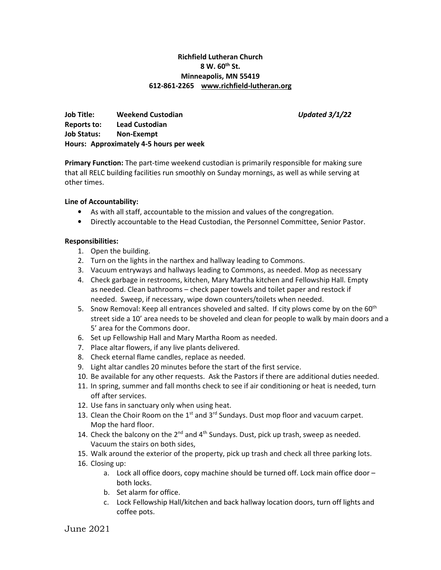# Richfield Lutheran Church  $8 W. 60<sup>th</sup> St.$ Minneapolis, MN 55419 612-861-2265 www.richfield-lutheran.org

Job Title: Weekend Custodian **Network 100 and 100 and 100 and 100 and 100 and 100 and 100 and 100 and 100 and 10** Reports to: Lead Custodian Job Status: Non-Exempt Hours: Approximately 4-5 hours per week

**Primary Function:** The part-time weekend custodian is primarily responsible for making sure that all RELC building facilities run smoothly on Sunday mornings, as well as while serving at other times.

### Line of Accountability:

- As with all staff, accountable to the mission and values of the congregation.
- Directly accountable to the Head Custodian, the Personnel Committee, Senior Pastor.

#### Responsibilities:

- 1. Open the building.
- 2. Turn on the lights in the narthex and hallway leading to Commons.
- 3. Vacuum entryways and hallways leading to Commons, as needed. Mop as necessary
- 4. Check garbage in restrooms, kitchen, Mary Martha kitchen and Fellowship Hall. Empty as needed. Clean bathrooms – check paper towels and toilet paper and restock if needed. Sweep, if necessary, wipe down counters/toilets when needed.
- 5. Snow Removal: Keep all entrances shoveled and salted. If city plows come by on the 60<sup>th</sup> street side a 10' area needs to be shoveled and clean for people to walk by main doors and a 5' area for the Commons door.
- 6. Set up Fellowship Hall and Mary Martha Room as needed.
- 7. Place altar flowers, if any live plants delivered.
- 8. Check eternal flame candles, replace as needed.
- 9. Light altar candles 20 minutes before the start of the first service.
- 10. Be available for any other requests. Ask the Pastors if there are additional duties needed.
- 11. In spring, summer and fall months check to see if air conditioning or heat is needed, turn off after services.
- 12. Use fans in sanctuary only when using heat.
- 13. Clean the Choir Room on the  $1<sup>st</sup>$  and  $3<sup>rd</sup>$  Sundays. Dust mop floor and vacuum carpet. Mop the hard floor.
- 14. Check the balcony on the  $2^{nd}$  and  $4^{th}$  Sundays. Dust, pick up trash, sweep as needed. Vacuum the stairs on both sides,
- 15. Walk around the exterior of the property, pick up trash and check all three parking lots.
- 16. Closing up:
	- a. Lock all office doors, copy machine should be turned off. Lock main office door both locks.
	- b. Set alarm for office.
	- c. Lock Fellowship Hall/kitchen and back hallway location doors, turn off lights and coffee pots.

June 2021